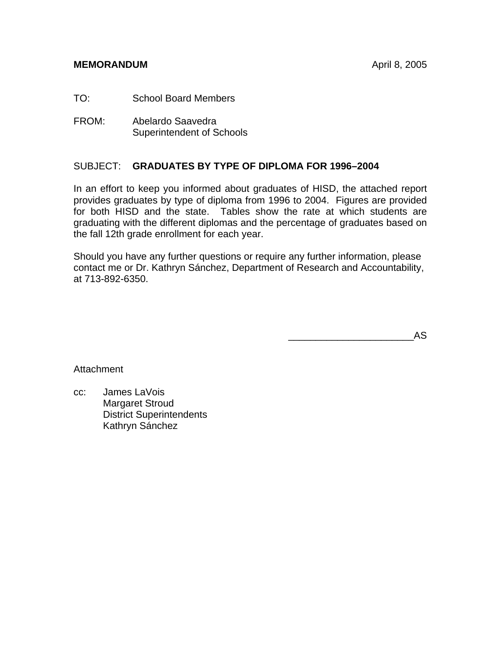# **MEMORANDUM April 8, 2005**

TO: School Board Members

FROM: Abelardo Saavedra Superintendent of Schools

# SUBJECT: **GRADUATES BY TYPE OF DIPLOMA FOR 1996–2004**

In an effort to keep you informed about graduates of HISD, the attached report provides graduates by type of diploma from 1996 to 2004. Figures are provided for both HISD and the state. Tables show the rate at which students are graduating with the different diplomas and the percentage of graduates based on the fall 12th grade enrollment for each year.

Should you have any further questions or require any further information, please contact me or Dr. Kathryn Sánchez, Department of Research and Accountability, at 713-892-6350.

 $\overline{\phantom{a}}$  and  $\overline{\phantom{a}}$  and  $\overline{\phantom{a}}$  and  $\overline{\phantom{a}}$  and  $\overline{\phantom{a}}$  and  $\overline{\phantom{a}}$  and  $\overline{\phantom{a}}$  and  $\overline{\phantom{a}}$  and  $\overline{\phantom{a}}$  and  $\overline{\phantom{a}}$  and  $\overline{\phantom{a}}$  and  $\overline{\phantom{a}}$  and  $\overline{\phantom{a}}$  and  $\overline{\phantom{a}}$  a

**Attachment** 

cc: James LaVois Margaret Stroud District Superintendents Kathryn Sánchez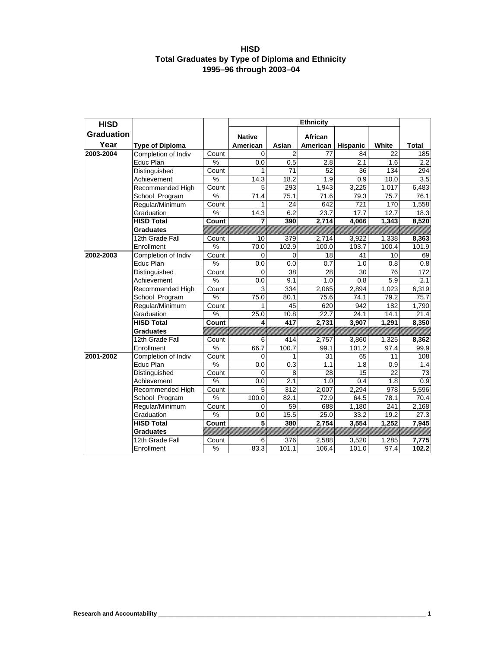#### **HISD Total Graduates by Type of Diploma and Ethnicity 1995–96 through 2003–04**

| <b>HISD</b>       |                                               | <b>Ethnicity</b> |                      |                         |                     |                       |                 |                     |
|-------------------|-----------------------------------------------|------------------|----------------------|-------------------------|---------------------|-----------------------|-----------------|---------------------|
| <b>Graduation</b> |                                               |                  |                      |                         |                     |                       |                 |                     |
| Year              |                                               |                  | <b>Native</b>        |                         | African<br>American |                       | White           |                     |
| 2003-2004         | <b>Type of Diploma</b><br>Completion of Indiv | Count            | American<br>$\Omega$ | Asian<br>$\overline{2}$ | 77                  | <b>Hispanic</b><br>84 | 22              | <b>Total</b><br>185 |
|                   | Educ Plan                                     | %                | 0.0                  | 0.5                     | 2.8                 | 2.1                   | 1.6             | 2.2                 |
|                   | Distinguished                                 | Count            | 1                    | 71                      | 52                  | 36                    | 134             | 294                 |
|                   | Achievement                                   | $\frac{1}{2}$    | 14.3                 | 18.2                    | 1.9                 | 0.9                   | 10.0            | 3.5                 |
|                   | Recommended High                              | Count            | 5                    | 293                     | 1,943               | 3,225                 | 1,017           | 6,483               |
|                   | School Program                                | $\%$             | 71.4                 | 75.1                    | 71.6                | 79.3                  | 75.7            | 76.1                |
|                   | Regular/Minimum                               | Count            | 1                    | 24                      | 642                 | 721                   | 170             | 1,558               |
|                   | Graduation                                    | $\%$             | 14.3                 | 6.2                     | 23.7                | 17.7                  | 12.7            | 18.3                |
|                   | <b>HISD Total</b>                             | Count            | 7                    | 390                     | 2,714               | 4,066                 | 1,343           | 8,520               |
|                   | <b>Graduates</b>                              |                  |                      |                         |                     |                       |                 |                     |
|                   | 12th Grade Fall                               | Count            | 10                   | 379                     | 2,714               | 3,922                 | 1,338           | 8,363               |
|                   | Enrollment                                    | $\%$             | 70.0                 | 102.9                   | 100.0               | 103.7                 | 100.4           | 101.9               |
| 2002-2003         | Completion of Indiv                           | Count            | $\Omega$             | $\Omega$                | 18                  | 41                    | 10              | 69                  |
|                   | Educ Plan                                     | $\%$             | 0.0                  | 0.0                     | 0.7                 | 1.0                   | 0.8             | 0.8                 |
|                   | Distinguished                                 | Count            | $\Omega$             | 38                      | 28                  | 30                    | 76              | 172                 |
|                   | Achievement                                   | $\%$             | 0.0                  | 9.1                     | 1.0                 | 0.8                   | 5.9             | 2.1                 |
|                   | Recommended High                              | Count            | 3                    | 334                     | 2,065               | 2,894                 | 1,023           | 6,319               |
|                   | School Program                                | %                | 75.0                 | 80.1                    | 75.6                | 74.1                  | 79.2            | 75.7                |
|                   | Regular/Minimum                               | Count            | 1                    | 45                      | 620                 | 942                   | 182             | 1,790               |
|                   | Graduation                                    | $\%$             | 25.0                 | 10.8                    | 22.7                | 24.1                  | 14.1            | 21.4                |
|                   | <b>HISD Total</b>                             | Count            | 4                    | 417                     | 2,731               | 3,907                 | 1,291           | 8,350               |
|                   | <b>Graduates</b>                              |                  |                      |                         |                     |                       |                 |                     |
|                   | 12th Grade Fall                               | Count            | 6                    | 414                     | 2,757               | 3,860                 | 1,325           | 8,362               |
|                   | Enrollment                                    | $\%$             | 66.7                 | 100.7                   | 99.1                | 101.2                 | 97.4            | 99.9                |
| 2001-2002         | Completion of Indiv                           | Count            | 0                    | 1                       | 31                  | 65                    | 11              | 108                 |
|                   | Educ Plan                                     | $\%$             | 0.0                  | 0.3                     | 1.1                 | 1.8                   | 0.9             | 1.4                 |
|                   | Distinguished                                 | Count            | $\mathbf 0$          | 8                       | 28                  | 15                    | $\overline{22}$ | 73                  |
|                   | Achievement                                   | $\%$             | 0.0                  | 2.1                     | 1.0                 | 0.4                   | 1.8             | 0.9                 |
|                   | Recommended High                              | Count            | 5                    | 312                     | 2,007               | 2,294                 | 978             | 5,596               |
|                   | School Program                                | $\%$             | 100.0                | 82.1                    | 72.9                | 64.5                  | 78.1            | 70.4                |
|                   | Regular/Minimum                               | Count            | $\Omega$             | 59                      | 688                 | 1,180                 | 241             | 2,168               |
|                   | Graduation                                    | $\%$             | 0.0                  | 15.5                    | 25.0                | 33.2                  | 19.2            | 27.3                |
|                   | <b>HISD Total</b>                             | Count            | 5                    | 380                     | 2,754               | 3,554                 | 1,252           | 7,945               |
|                   | <b>Graduates</b>                              |                  |                      |                         |                     |                       |                 |                     |
|                   | 12th Grade Fall                               | Count            | 6                    | 376                     | 2,588               | 3,520                 | 1,285           | 7,775               |
|                   | Enrollment                                    | $\%$             | 83.3                 | 101.1                   | 106.4               | 101.0                 | 97.4            | 102.2               |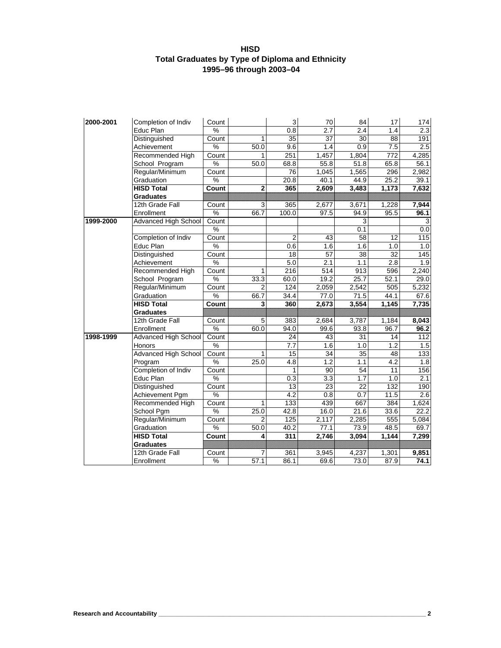#### **HISD Total Graduates by Type of Diploma and Ethnicity 1995–96 through 2003–04**

| 2000-2001 | Completion of Indiv         | Count |                | 3                | 70    | 84    | 17    | 174              |
|-----------|-----------------------------|-------|----------------|------------------|-------|-------|-------|------------------|
|           | Educ Plan                   | %     |                | 0.8              | 2.7   | 2.4   | 1.4   | 2.3              |
|           | Distinguished               | Count | $\mathbf{1}$   | 35               | 37    | 30    | 88    | 191              |
|           | Achievement                 | $\%$  | 50.0           | 9.6              | 1.4   | 0.9   | 7.5   | 2.5              |
|           | Recommended High            | Count | 1              | 251              | 1,457 | 1,804 | 772   | 4,285            |
|           | School Program              | %     | 50.0           | 68.8             | 55.8  | 51.8  | 65.8  | 56.1             |
|           | Regular/Minimum             | Count |                | 76               | 1,045 | 1,565 | 296   | 2,982            |
|           | Graduation                  | %     |                | 20.8             | 40.1  | 44.9  | 25.2  | 39.1             |
|           | <b>HISD Total</b>           | Count | $\bf 2$        | 365              | 2,609 | 3,483 | 1,173 | 7,632            |
|           | <b>Graduates</b>            |       |                |                  |       |       |       |                  |
|           | 12th Grade Fall             | Count | 3              | 365              | 2,677 | 3,671 | 1,228 | 7,944            |
|           | Enrollment                  | $\%$  | 66.7           | 100.0            | 97.5  | 94.9  | 95.5  | 96.1             |
| 1999-2000 | Advanced High School        | Count |                |                  |       | 3     |       |                  |
|           |                             | %     |                |                  |       | 0.1   |       | 0.0              |
|           | Completion of Indiv         | Count |                | $\overline{2}$   | 43    | 58    | 12    | 115              |
|           | Educ Plan                   | $\%$  |                | 0.6              | 1.6   | 1.6   | 1.0   | 1.0              |
|           | Distinguished               | Count |                | $\overline{18}$  | 57    | 38    | 32    | 145              |
|           | Achievement                 | %     |                | 5.0              | 2.1   | 1.1   | 2.8   | 1.9              |
|           | Recommended High            | Count | 1              | 216              | 514   | 913   | 596   | 2,240            |
|           | School Program              | $\%$  | 33.3           | 60.0             | 19.2  | 25.7  | 52.1  | 29.0             |
|           | Regular/Minimum             | Count | $\overline{2}$ | 124              | 2,059 | 2,542 | 505   | 5,232            |
|           | Graduation                  | %     | 66.7           | 34.4             | 77.0  | 71.5  | 44.1  | 67.6             |
|           | <b>HISD Total</b>           | Count | 3              | 360              | 2,673 | 3,554 | 1,145 | 7,735            |
|           | <b>Graduates</b>            |       |                |                  |       |       |       |                  |
|           | 12th Grade Fall             | Count | 5              | 383              | 2,684 | 3,787 | 1,184 | 8,043            |
|           | Enrollment                  | %     | 60.0           | 94.0             | 99.6  | 93.8  | 96.7  | 96.2             |
| 1998-1999 | <b>Advanced High School</b> | Count |                | 24               | 43    | 31    | 14    | 112              |
|           | Honors                      | %     |                | 7.7              | 1.6   | 1.0   | 1.2   | 1.5              |
|           | <b>Advanced High School</b> | Count | 1              | 15               | 34    | 35    | 48    | $\overline{133}$ |
|           | Program                     | $\%$  | 25.0           | 4.8              | 1.2   | 1.1   | 4.2   | 1.8              |
|           | Completion of Indiv         | Count |                | 1                | 90    | 54    | 11    | 156              |
|           | Educ Plan                   | %     |                | 0.3              | 3.3   | 1.7   | 1.0   | 2.1              |
|           | Distinguished               | Count |                | 13               | 23    | 22    | 132   | 190              |
|           | Achievement Pgm             | %     |                | $\overline{4.2}$ | 0.8   | 0.7   | 11.5  | 2.6              |
|           | Recommended High            | Count | $\mathbf{1}$   | 133              | 439   | 667   | 384   | 1,624            |
|           | School Pgm                  | $\%$  | 25.0           | 42.8             | 16.0  | 21.6  | 33.6  | 22.2             |
|           | Regular/Minimum             | Count | 2              | 125              | 2,117 | 2,285 | 555   | 5,084            |
|           | Graduation                  | %     | 50.0           | 40.2             | 77.1  | 73.9  | 48.5  | 69.7             |
|           | <b>HISD Total</b>           | Count | 4              | 311              | 2,746 | 3,094 | 1,144 | 7,299            |
|           | <b>Graduates</b>            |       |                |                  |       |       |       |                  |
|           | 12th Grade Fall             | Count | 7              | 361              | 3,945 | 4,237 | 1,301 | 9,851            |
|           | Enrollment                  | %     | 57.1           | 86.1             | 69.6  | 73.0  | 87.9  | 74.1             |